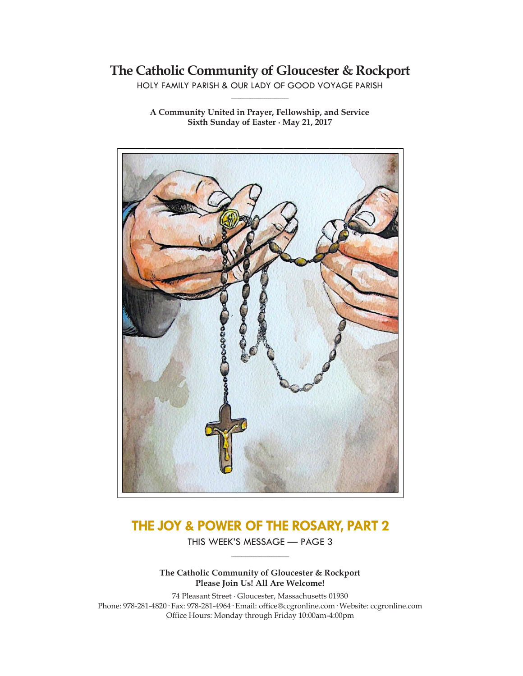## **The Catholic Community of Gloucester & Rockport**

HOLY FAMILY PARISH & OUR LADY OF GOOD VOYAGE PARISH **\_\_\_\_\_\_\_\_\_\_\_\_\_\_\_\_\_\_\_\_\_\_\_\_\_\_\_\_\_**

**A Community United in Prayer, Fellowship, and Service Sixth Sunday of Easter ∙ May 21, 2017**



# **THE JOY & POWER OF THE ROSARY, PART 2**

THIS WEEK'S MESSAGE — PAGE 3 **\_\_\_\_\_\_\_\_\_\_\_\_\_\_\_\_\_\_\_\_\_\_\_\_\_\_\_\_\_**

**The Catholic Community of Gloucester & Rockport Please Join Us! All Are Welcome!**

74 Pleasant Street ∙ Gloucester, Massachusetts 01930 Phone: 978-281-4820· Fax: 978-281-4964· Email: office@ccgronline.com· Website: ccgronline.com Office Hours: Monday through Friday 10:00am-4:00pm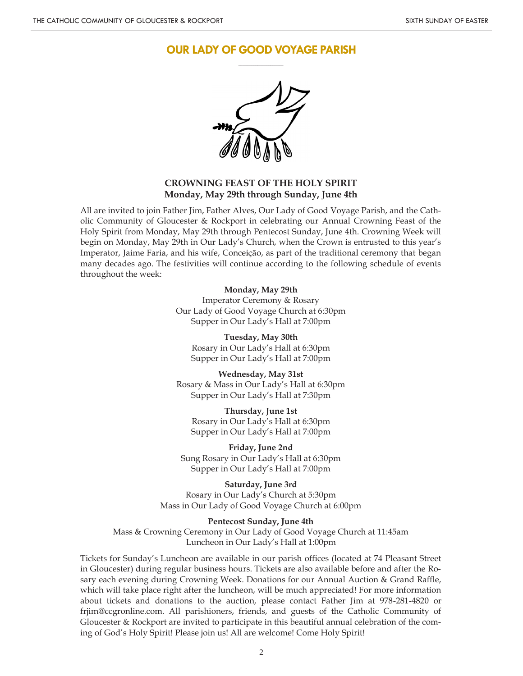### **OUR LADY OF GOOD VOYAGE PARISH \_\_\_\_\_\_\_\_\_\_\_\_\_\_\_\_\_\_\_\_\_**



### **CROWNING FEAST OF THE HOLY SPIRIT Monday, May 29th through Sunday, June 4th**

All are invited to join Father Jim, Father Alves, Our Lady of Good Voyage Parish, and the Catholic Community of Gloucester & Rockport in celebrating our Annual Crowning Feast of the Holy Spirit from Monday, May 29th through Pentecost Sunday, June 4th. Crowning Week will begin on Monday, May 29th in Our Lady's Church, when the Crown is entrusted to this year's Imperator, Jaime Faria, and his wife, Conceição, as part of the traditional ceremony that began many decades ago. The festivities will continue according to the following schedule of events throughout the week:

#### **Monday, May 29th**

Imperator Ceremony & Rosary Our Lady of Good Voyage Church at 6:30pm Supper in Our Lady's Hall at 7:00pm

**Tuesday, May 30th** Rosary in Our Lady's Hall at 6:30pm Supper in Our Lady's Hall at 7:00pm

**Wednesday, May 31st** Rosary & Mass in Our Lady's Hall at 6:30pm Supper in Our Lady's Hall at 7:30pm

**Thursday, June 1st** Rosary in Our Lady's Hall at 6:30pm Supper in Our Lady's Hall at 7:00pm

**Friday, June 2nd** Sung Rosary in Our Lady's Hall at 6:30pm Supper in Our Lady's Hall at 7:00pm

#### **Saturday, June 3rd**

Rosary in Our Lady's Church at 5:30pm Mass in Our Lady of Good Voyage Church at 6:00pm

#### **Pentecost Sunday, June 4th**

Mass & Crowning Ceremony in Our Lady of Good Voyage Church at 11:45am Luncheon in Our Lady's Hall at 1:00pm

Tickets for Sunday's Luncheon are available in our parish offices (located at 74 Pleasant Street in Gloucester) during regular business hours. Tickets are also available before and after the Rosary each evening during Crowning Week. Donations for our Annual Auction & Grand Raffle, which will take place right after the luncheon, will be much appreciated! For more information about tickets and donations to the auction, please contact Father Jim at 978-281-4820 or frjim@ccgronline.com. All parishioners, friends, and guests of the Catholic Community of Gloucester & Rockport are invited to participate in this beautiful annual celebration of the coming of God's Holy Spirit! Please join us! All are welcome! Come Holy Spirit!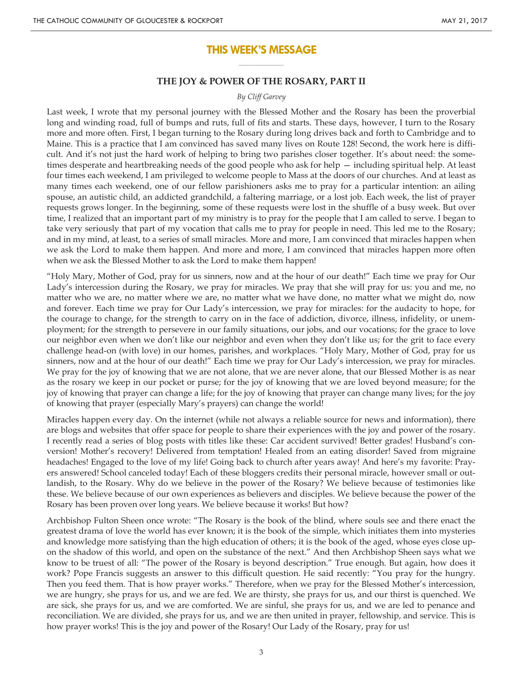### **THIS WEEK'S MESSAGE \_\_\_\_\_\_\_\_\_\_\_\_\_\_\_\_\_\_\_\_\_**

#### **THE JOY & POWER OF THE ROSARY, PART II**

#### *By Cliff Garvey*

Last week, I wrote that my personal journey with the Blessed Mother and the Rosary has been the proverbial long and winding road, full of bumps and ruts, full of fits and starts. These days, however, I turn to the Rosary more and more often. First, I began turning to the Rosary during long drives back and forth to Cambridge and to Maine. This is a practice that I am convinced has saved many lives on Route 128! Second, the work here is difficult. And it's not just the hard work of helping to bring two parishes closer together. It's about need: the sometimes desperate and heartbreaking needs of the good people who ask for help — including spiritual help. At least four times each weekend, I am privileged to welcome people to Mass at the doors of our churches. And at least as many times each weekend, one of our fellow parishioners asks me to pray for a particular intention: an ailing spouse, an autistic child, an addicted grandchild, a faltering marriage, or a lost job. Each week, the list of prayer requests grows longer. In the beginning, some of these requests were lost in the shuffle of a busy week. But over time, I realized that an important part of my ministry is to pray for the people that I am called to serve. I began to take very seriously that part of my vocation that calls me to pray for people in need. This led me to the Rosary; and in my mind, at least, to a series of small miracles. More and more, I am convinced that miracles happen when we ask the Lord to make them happen. And more and more, I am convinced that miracles happen more often when we ask the Blessed Mother to ask the Lord to make them happen!

"Holy Mary, Mother of God, pray for us sinners, now and at the hour of our death!" Each time we pray for Our Lady's intercession during the Rosary, we pray for miracles. We pray that she will pray for us: you and me, no matter who we are, no matter where we are, no matter what we have done, no matter what we might do, now and forever. Each time we pray for Our Lady's intercession, we pray for miracles: for the audacity to hope, for the courage to change, for the strength to carry on in the face of addiction, divorce, illness, infidelity, or unemployment; for the strength to persevere in our family situations, our jobs, and our vocations; for the grace to love our neighbor even when we don't like our neighbor and even when they don't like us; for the grit to face every challenge head-on (with love) in our homes, parishes, and workplaces. "Holy Mary, Mother of God, pray for us sinners, now and at the hour of our death!" Each time we pray for Our Lady's intercession, we pray for miracles. We pray for the joy of knowing that we are not alone, that we are never alone, that our Blessed Mother is as near as the rosary we keep in our pocket or purse; for the joy of knowing that we are loved beyond measure; for the joy of knowing that prayer can change a life; for the joy of knowing that prayer can change many lives; for the joy of knowing that prayer (especially Mary's prayers) can change the world!

Miracles happen every day. On the internet (while not always a reliable source for news and information), there are blogs and websites that offer space for people to share their experiences with the joy and power of the rosary. I recently read a series of blog posts with titles like these: Car accident survived! Better grades! Husband's conversion! Mother's recovery! Delivered from temptation! Healed from an eating disorder! Saved from migraine headaches! Engaged to the love of my life! Going back to church after years away! And here's my favorite: Prayers answered! School canceled today! Each of these bloggers credits their personal miracle, however small or outlandish, to the Rosary. Why do we believe in the power of the Rosary? We believe because of testimonies like these. We believe because of our own experiences as believers and disciples. We believe because the power of the Rosary has been proven over long years. We believe because it works! But how?

Archbishop Fulton Sheen once wrote: "The Rosary is the book of the blind, where souls see and there enact the greatest drama of love the world has ever known; it is the book of the simple, which initiates them into mysteries and knowledge more satisfying than the high education of others; it is the book of the aged, whose eyes close upon the shadow of this world, and open on the substance of the next." And then Archbishop Sheen says what we know to be truest of all: "The power of the Rosary is beyond description." True enough. But again, how does it work? Pope Francis suggests an answer to this difficult question. He said recently: "You pray for the hungry. Then you feed them. That is how prayer works." Therefore, when we pray for the Blessed Mother's intercession, we are hungry, she prays for us, and we are fed. We are thirsty, she prays for us, and our thirst is quenched. We are sick, she prays for us, and we are comforted. We are sinful, she prays for us, and we are led to penance and reconciliation. We are divided, she prays for us, and we are then united in prayer, fellowship, and service. This is how prayer works! This is the joy and power of the Rosary! Our Lady of the Rosary, pray for us!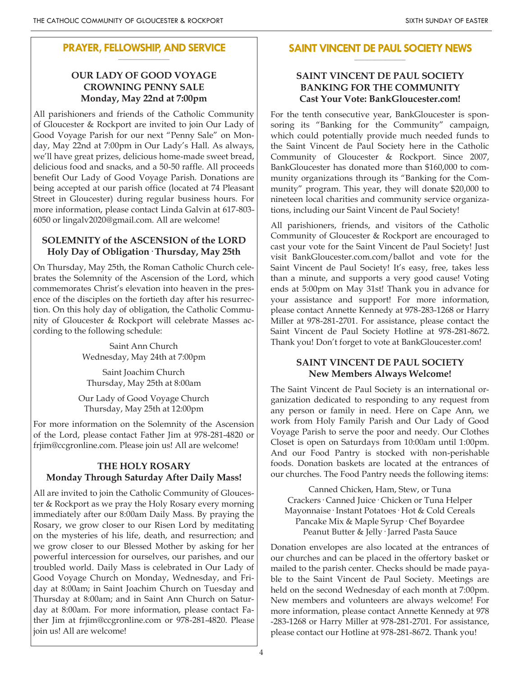#### **PRAYER, FELLOWSHIP, AND SERVICE \_\_\_\_\_\_\_\_\_\_\_\_\_\_\_\_\_\_\_\_**

### **OUR LADY OF GOOD VOYAGE CROWNING PENNY SALE Monday, May 22nd at 7:00pm**

All parishioners and friends of the Catholic Community of Gloucester & Rockport are invited to join Our Lady of Good Voyage Parish for our next "Penny Sale" on Monday, May 22nd at 7:00pm in Our Lady's Hall. As always, we'll have great prizes, delicious home-made sweet bread, delicious food and snacks, and a 50-50 raffle. All proceeds benefit Our Lady of Good Voyage Parish. Donations are being accepted at our parish office (located at 74 Pleasant Street in Gloucester) during regular business hours. For more information, please contact Linda Galvin at 617-803- 6050 or lingalv2020@gmail.com. All are welcome!

### **SOLEMNITY of the ASCENSION of the LORD Holy Day of Obligation· Thursday, May 25th**

On Thursday, May 25th, the Roman Catholic Church celebrates the Solemnity of the Ascension of the Lord, which commemorates Christ's elevation into heaven in the presence of the disciples on the fortieth day after his resurrection. On this holy day of obligation, the Catholic Community of Gloucester & Rockport will celebrate Masses according to the following schedule:

> Saint Ann Church Wednesday, May 24th at 7:00pm

Saint Joachim Church Thursday, May 25th at 8:00am

Our Lady of Good Voyage Church Thursday, May 25th at 12:00pm

For more information on the Solemnity of the Ascension of the Lord, please contact Father Jim at 978-281-4820 or frjim@ccgronline.com. Please join us! All are welcome!

### **THE HOLY ROSARY Monday Through Saturday After Daily Mass!**

All are invited to join the Catholic Community of Gloucester & Rockport as we pray the Holy Rosary every morning immediately after our 8:00am Daily Mass. By praying the Rosary, we grow closer to our Risen Lord by meditating on the mysteries of his life, death, and resurrection; and we grow closer to our Blessed Mother by asking for her powerful intercession for ourselves, our parishes, and our troubled world. Daily Mass is celebrated in Our Lady of Good Voyage Church on Monday, Wednesday, and Friday at 8:00am; in Saint Joachim Church on Tuesday and Thursday at 8:00am; and in Saint Ann Church on Saturday at 8:00am. For more information, please contact Father Jim at frjim@ccgronline.com or 978-281-4820. Please join us! All are welcome!

#### **SAINT VINCENT DE PAUL SOCIETY NEWS \_\_\_\_\_\_\_\_\_\_\_\_\_\_\_\_\_\_\_\_**

### **SAINT VINCENT DE PAUL SOCIETY BANKING FOR THE COMMUNITY Cast Your Vote: BankGloucester.com!**

For the tenth consecutive year, BankGloucester is sponsoring its "Banking for the Community" campaign, which could potentially provide much needed funds to the Saint Vincent de Paul Society here in the Catholic Community of Gloucester & Rockport. Since 2007, BankGloucester has donated more than \$160,000 to community organizations through its "Banking for the Community" program. This year, they will donate \$20,000 to nineteen local charities and community service organizations, including our Saint Vincent de Paul Society!

All parishioners, friends, and visitors of the Catholic Community of Gloucester & Rockport are encouraged to cast your vote for the Saint Vincent de Paul Society! Just visit BankGloucester.com.com/ballot and vote for the Saint Vincent de Paul Society! It's easy, free, takes less than a minute, and supports a very good cause! Voting ends at 5:00pm on May 31st! Thank you in advance for your assistance and support! For more information, please contact Annette Kennedy at 978-283-1268 or Harry Miller at 978-281-2701. For assistance, please contact the Saint Vincent de Paul Society Hotline at 978-281-8672. Thank you! Don't forget to vote at BankGloucester.com!

### **SAINT VINCENT DE PAUL SOCIETY New Members Always Welcome!**

The Saint Vincent de Paul Society is an international organization dedicated to responding to any request from any person or family in need. Here on Cape Ann, we work from Holy Family Parish and Our Lady of Good Voyage Parish to serve the poor and needy. Our Clothes Closet is open on Saturdays from 10:00am until 1:00pm. And our Food Pantry is stocked with non-perishable foods. Donation baskets are located at the entrances of our churches. The Food Pantry needs the following items:

Canned Chicken, Ham, Stew, or Tuna Crackers· Canned Juice· Chicken or Tuna Helper Mayonnaise· Instant Potatoes· Hot & Cold Cereals Pancake Mix & Maple Syrup· Chef Boyardee Peanut Butter & Jelly· Jarred Pasta Sauce

Donation envelopes are also located at the entrances of our churches and can be placed in the offertory basket or mailed to the parish center. Checks should be made payable to the Saint Vincent de Paul Society. Meetings are held on the second Wednesday of each month at 7:00pm. New members and volunteers are always welcome! For more information, please contact Annette Kennedy at 978 -283-1268 or Harry Miller at 978-281-2701. For assistance, please contact our Hotline at 978-281-8672. Thank you!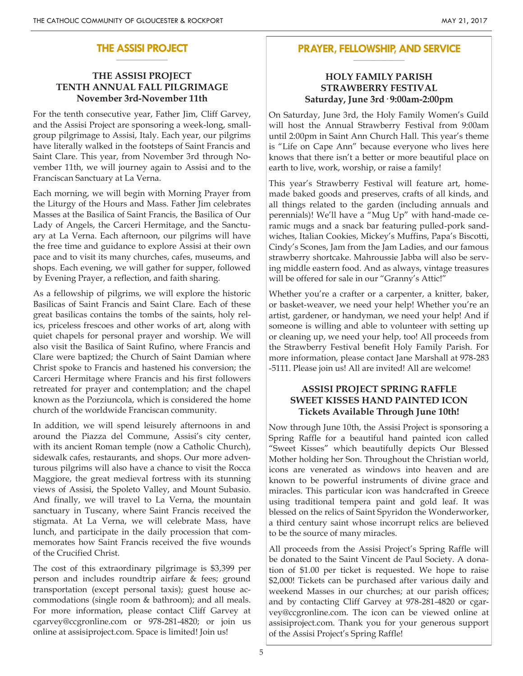#### **THE ASSISI PROJECT \_\_\_\_\_\_\_\_\_\_\_\_\_\_\_\_\_\_\_\_**

### **THE ASSISI PROJECT TENTH ANNUAL FALL PILGRIMAGE November 3rd-November 11th**

For the tenth consecutive year, Father Jim, Cliff Garvey, and the Assisi Project are sponsoring a week-long, smallgroup pilgrimage to Assisi, Italy. Each year, our pilgrims have literally walked in the footsteps of Saint Francis and Saint Clare. This year, from November 3rd through November 11th, we will journey again to Assisi and to the Franciscan Sanctuary at La Verna.

Each morning, we will begin with Morning Prayer from the Liturgy of the Hours and Mass. Father Jim celebrates Masses at the Basilica of Saint Francis, the Basilica of Our Lady of Angels, the Carceri Hermitage, and the Sanctuary at La Verna. Each afternoon, our pilgrims will have the free time and guidance to explore Assisi at their own pace and to visit its many churches, cafes, museums, and shops. Each evening, we will gather for supper, followed by Evening Prayer, a reflection, and faith sharing.

As a fellowship of pilgrims, we will explore the historic Basilicas of Saint Francis and Saint Clare. Each of these great basilicas contains the tombs of the saints, holy relics, priceless frescoes and other works of art, along with quiet chapels for personal prayer and worship. We will also visit the Basilica of Saint Rufino, where Francis and Clare were baptized; the Church of Saint Damian where Christ spoke to Francis and hastened his conversion; the Carceri Hermitage where Francis and his first followers retreated for prayer and contemplation; and the chapel known as the Porziuncola, which is considered the home church of the worldwide Franciscan community.

In addition, we will spend leisurely afternoons in and around the Piazza del Commune, Assisi's city center, with its ancient Roman temple (now a Catholic Church), sidewalk cafes, restaurants, and shops. Our more adventurous pilgrims will also have a chance to visit the Rocca Maggiore, the great medieval fortress with its stunning views of Assisi, the Spoleto Valley, and Mount Subasio. And finally, we will travel to La Verna, the mountain sanctuary in Tuscany, where Saint Francis received the stigmata. At La Verna, we will celebrate Mass, have lunch, and participate in the daily procession that commemorates how Saint Francis received the five wounds of the Crucified Christ.

The cost of this extraordinary pilgrimage is \$3,399 per person and includes roundtrip airfare & fees; ground transportation (except personal taxis); guest house accommodations (single room & bathroom); and all meals. For more information, please contact Cliff Garvey at cgarvey@ccgronline.com or 978-281-4820; or join us online at assisiproject.com. Space is limited! Join us!

#### **PRAYER, FELLOWSHIP, AND SERVICE \_\_\_\_\_\_\_\_\_\_\_\_\_\_\_\_\_\_\_\_**

### **HOLY FAMILY PARISH STRAWBERRY FESTIVAL Saturday, June 3rd· 9:00am-2:00pm**

On Saturday, June 3rd, the Holy Family Women's Guild will host the Annual Strawberry Festival from 9:00am until 2:00pm in Saint Ann Church Hall. This year's theme is "Life on Cape Ann" because everyone who lives here knows that there isn't a better or more beautiful place on earth to live, work, worship, or raise a family!

This year's Strawberry Festival will feature art, homemade baked goods and preserves, crafts of all kinds, and all things related to the garden (including annuals and perennials)! We'll have a "Mug Up" with hand-made ceramic mugs and a snack bar featuring pulled-pork sandwiches, Italian Cookies, Mickey's Muffins, Papa's Biscotti, Cindy's Scones, Jam from the Jam Ladies, and our famous strawberry shortcake. Mahroussie Jabba will also be serving middle eastern food. And as always, vintage treasures will be offered for sale in our "Granny's Attic!"

Whether you're a crafter or a carpenter, a knitter, baker, or basket-weaver, we need your help! Whether you're an artist, gardener, or handyman, we need your help! And if someone is willing and able to volunteer with setting up or cleaning up, we need your help, too! All proceeds from the Strawberry Festival benefit Holy Family Parish. For more information, please contact Jane Marshall at 978-283 -5111. Please join us! All are invited! All are welcome!

### **ASSISI PROJECT SPRING RAFFLE SWEET KISSES HAND PAINTED ICON Tickets Available Through June 10th!**

Now through June 10th, the Assisi Project is sponsoring a Spring Raffle for a beautiful hand painted icon called "Sweet Kisses" which beautifully depicts Our Blessed Mother holding her Son. Throughout the Christian world, icons are venerated as windows into heaven and are known to be powerful instruments of divine grace and miracles. This particular icon was handcrafted in Greece using traditional tempera paint and gold leaf. It was blessed on the relics of Saint Spyridon the Wonderworker, a third century saint whose incorrupt relics are believed to be the source of many miracles.

All proceeds from the Assisi Project's Spring Raffle will be donated to the Saint Vincent de Paul Society. A donation of \$1.00 per ticket is requested. We hope to raise \$2,000! Tickets can be purchased after various daily and weekend Masses in our churches; at our parish offices; and by contacting Cliff Garvey at 978-281-4820 or cgarvey@ccgronline.com. The icon can be viewed online at assisiproject.com. Thank you for your generous support of the Assisi Project's Spring Raffle!